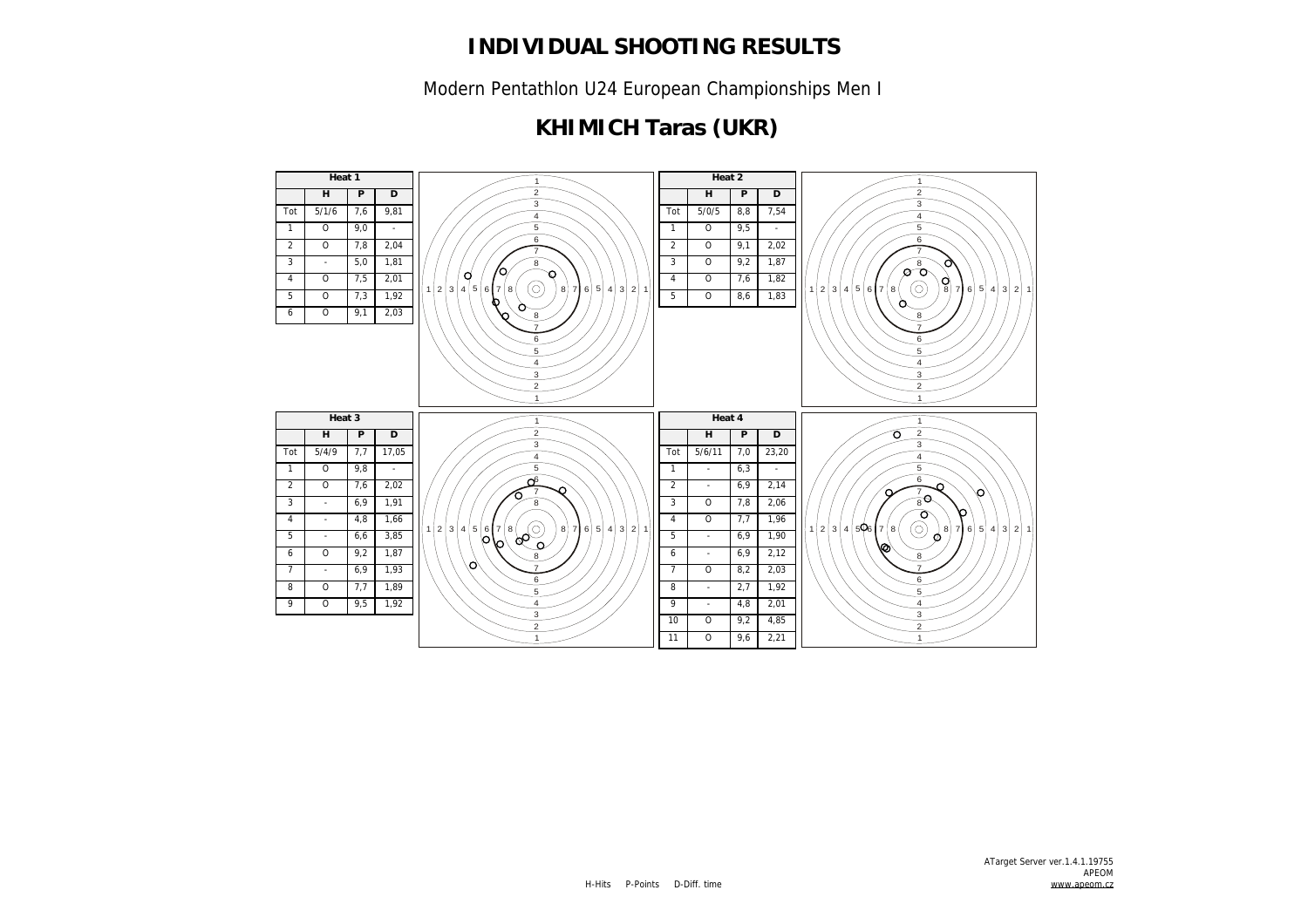Modern Pentathlon U24 European Championships Men I

# **KHIMICH Taras (UKR)**

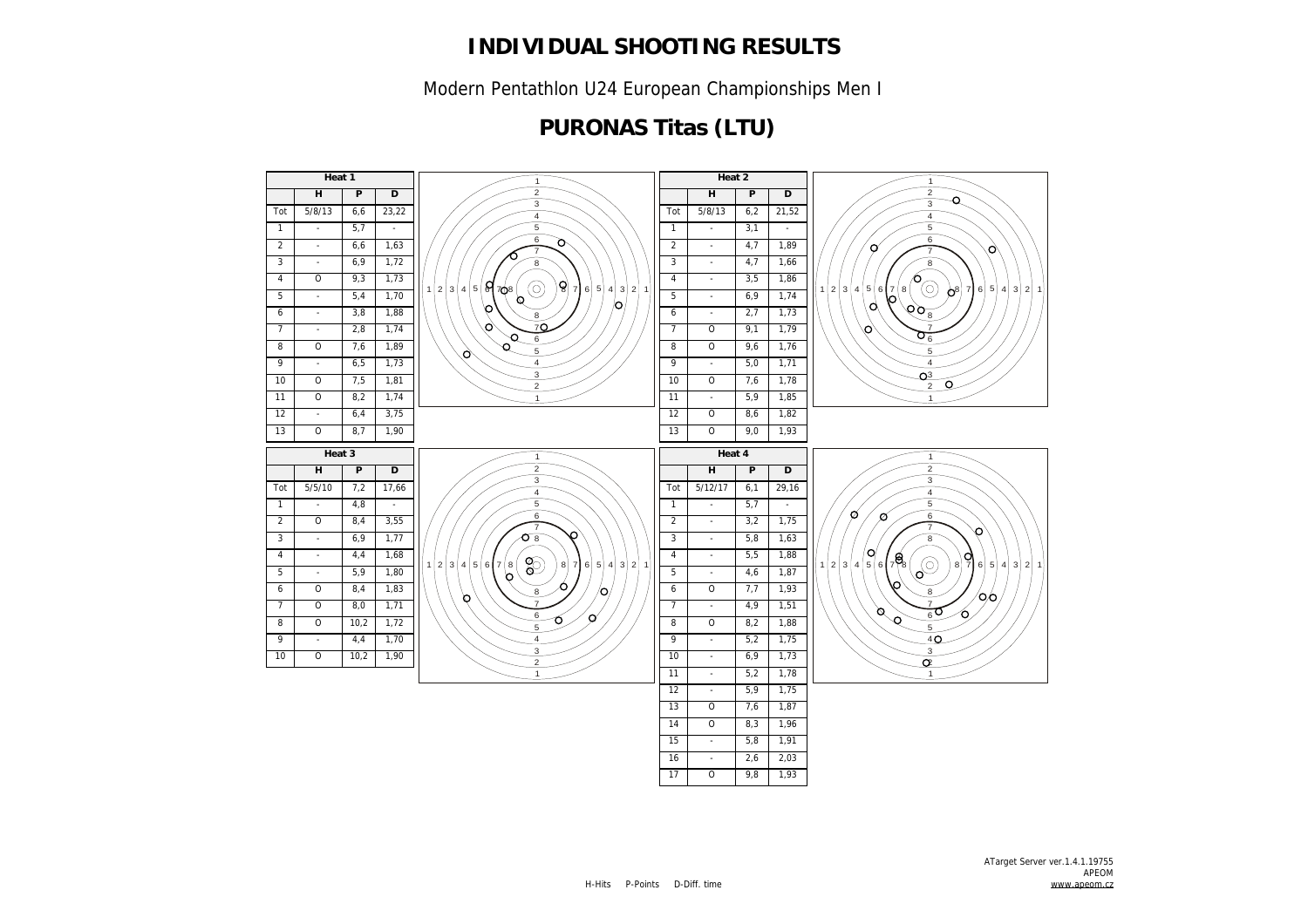Modern Pentathlon U24 European Championships Men I

## **PURONAS Titas (LTU)**

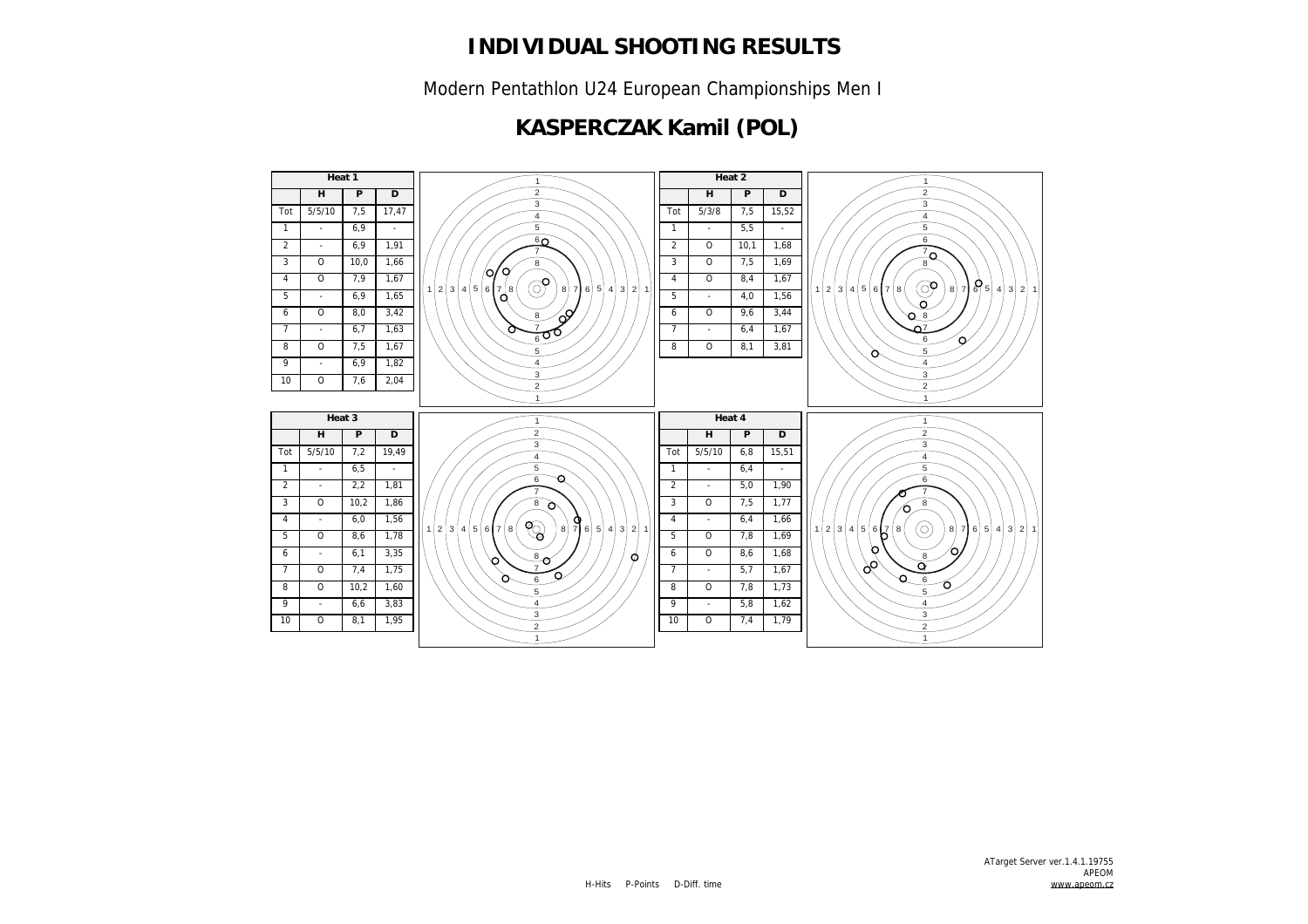Modern Pentathlon U24 European Championships Men I

## **KASPERCZAK Kamil (POL)**

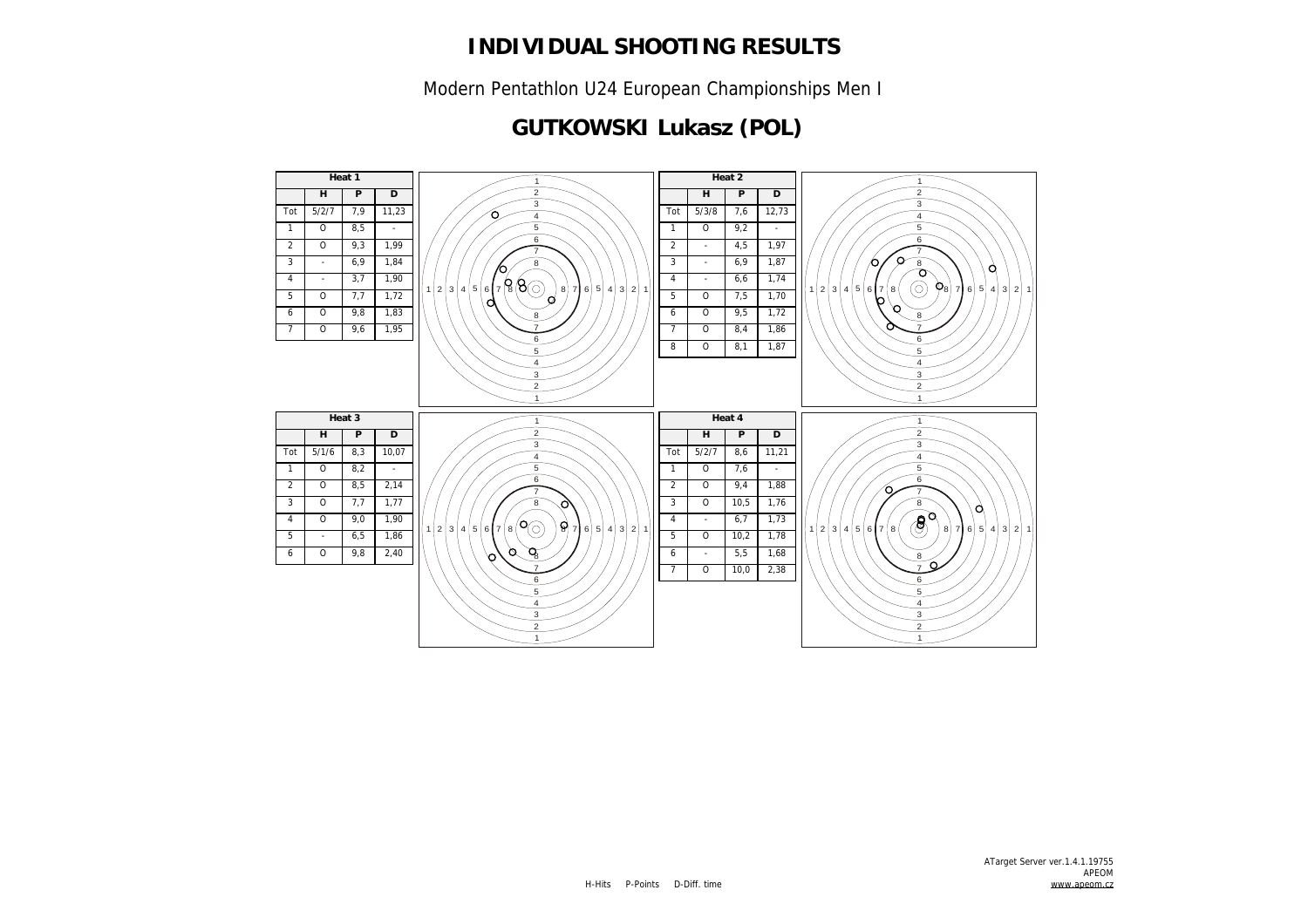Modern Pentathlon U24 European Championships Men I

## **GUTKOWSKI Lukasz (POL)**

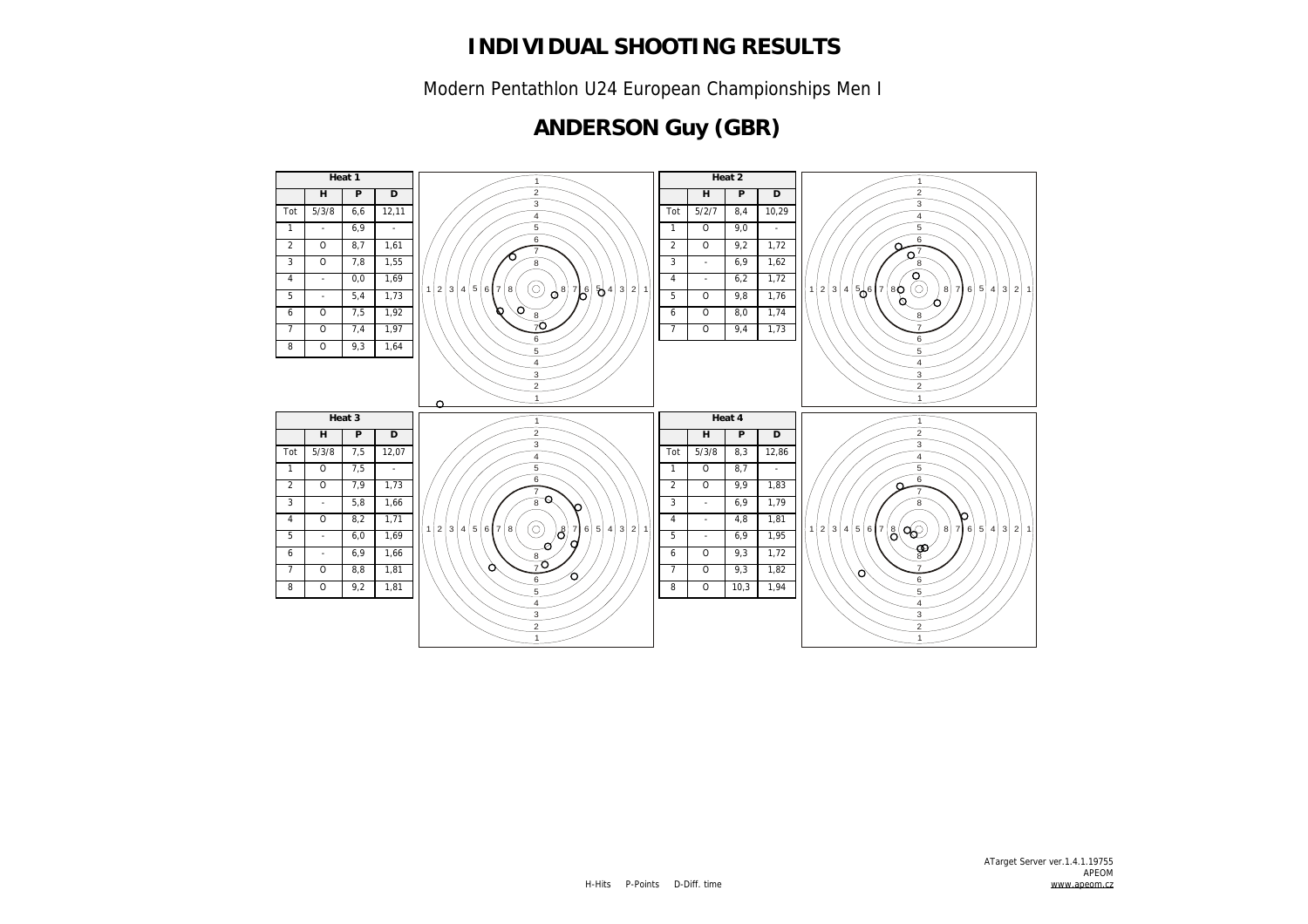Modern Pentathlon U24 European Championships Men I

## **ANDERSON Guy (GBR)**

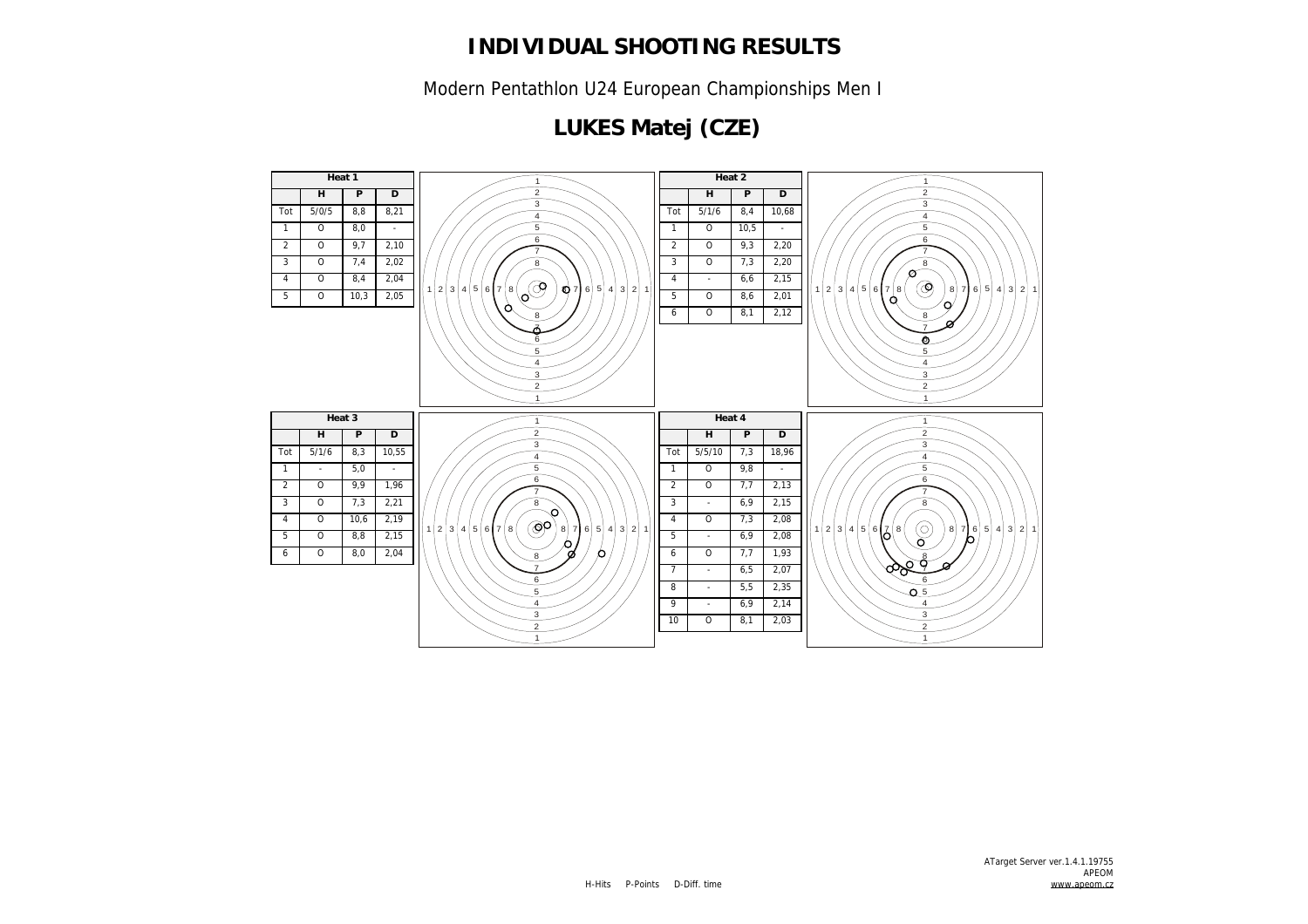Modern Pentathlon U24 European Championships Men I

# **LUKES Matej (CZE)**

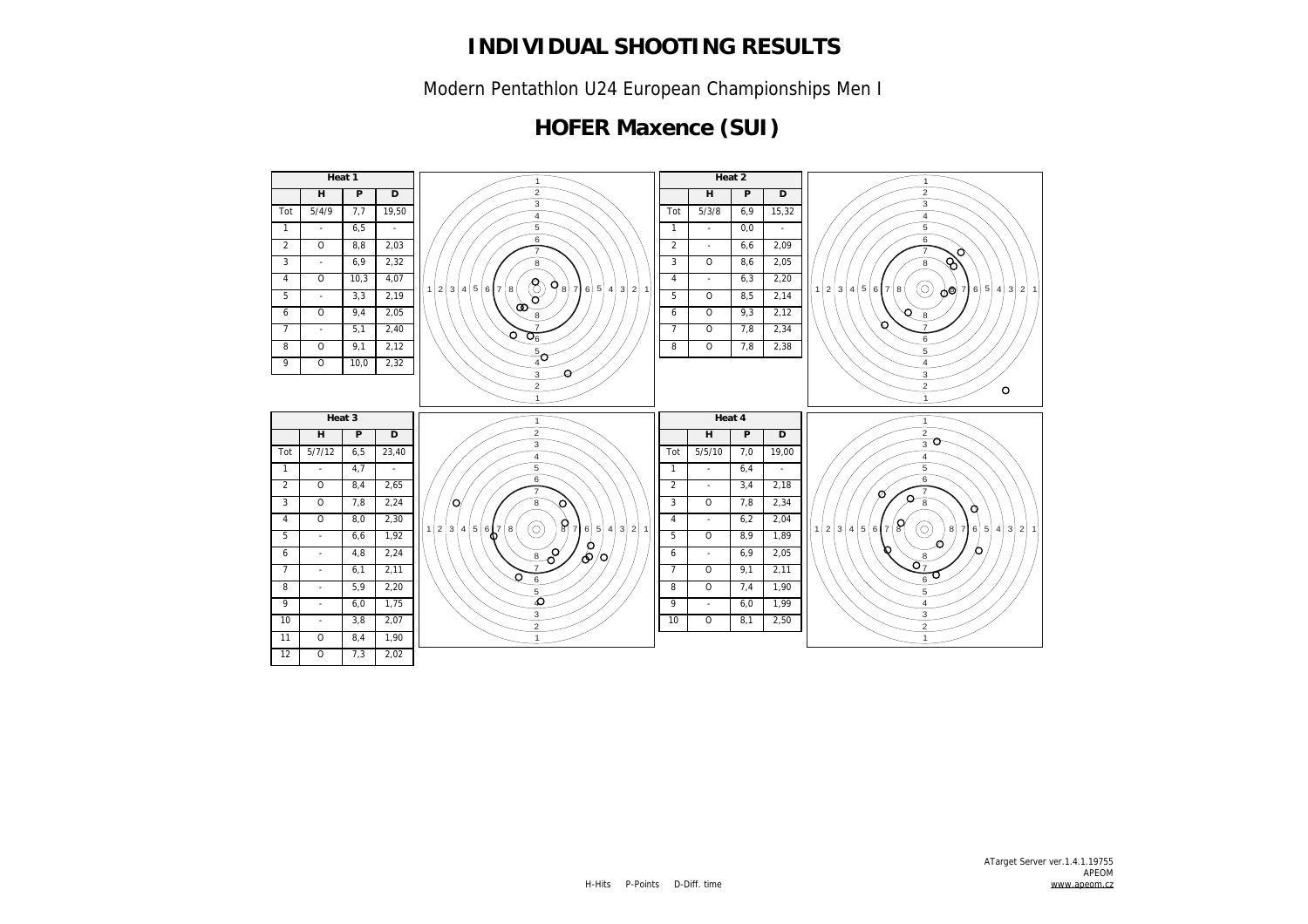Modern Pentathlon U24 European Championships Men I

## **HOFER Maxence (SUI)**

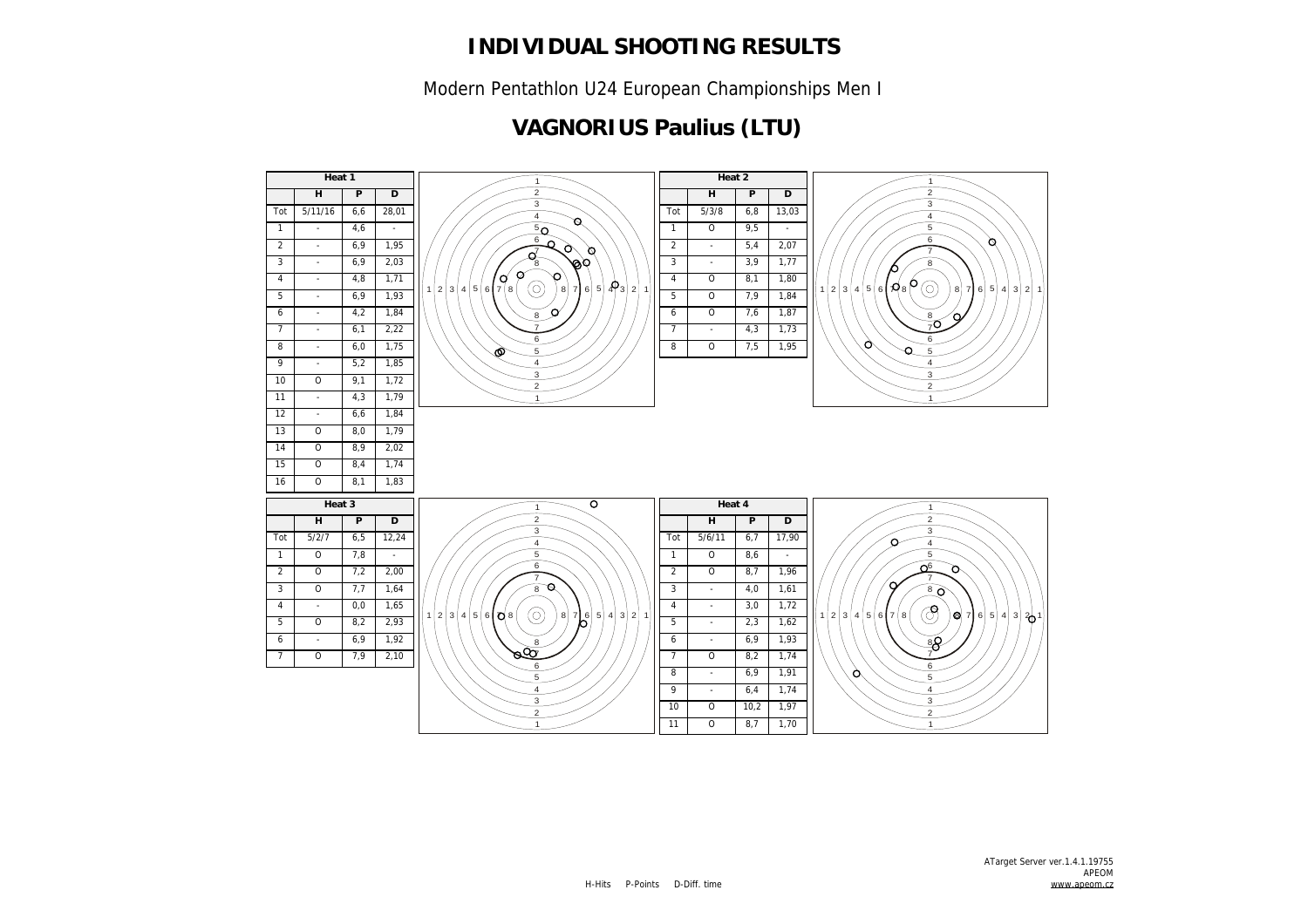Modern Pentathlon U24 European Championships Men I

## **VAGNORIUS Paulius (LTU)**

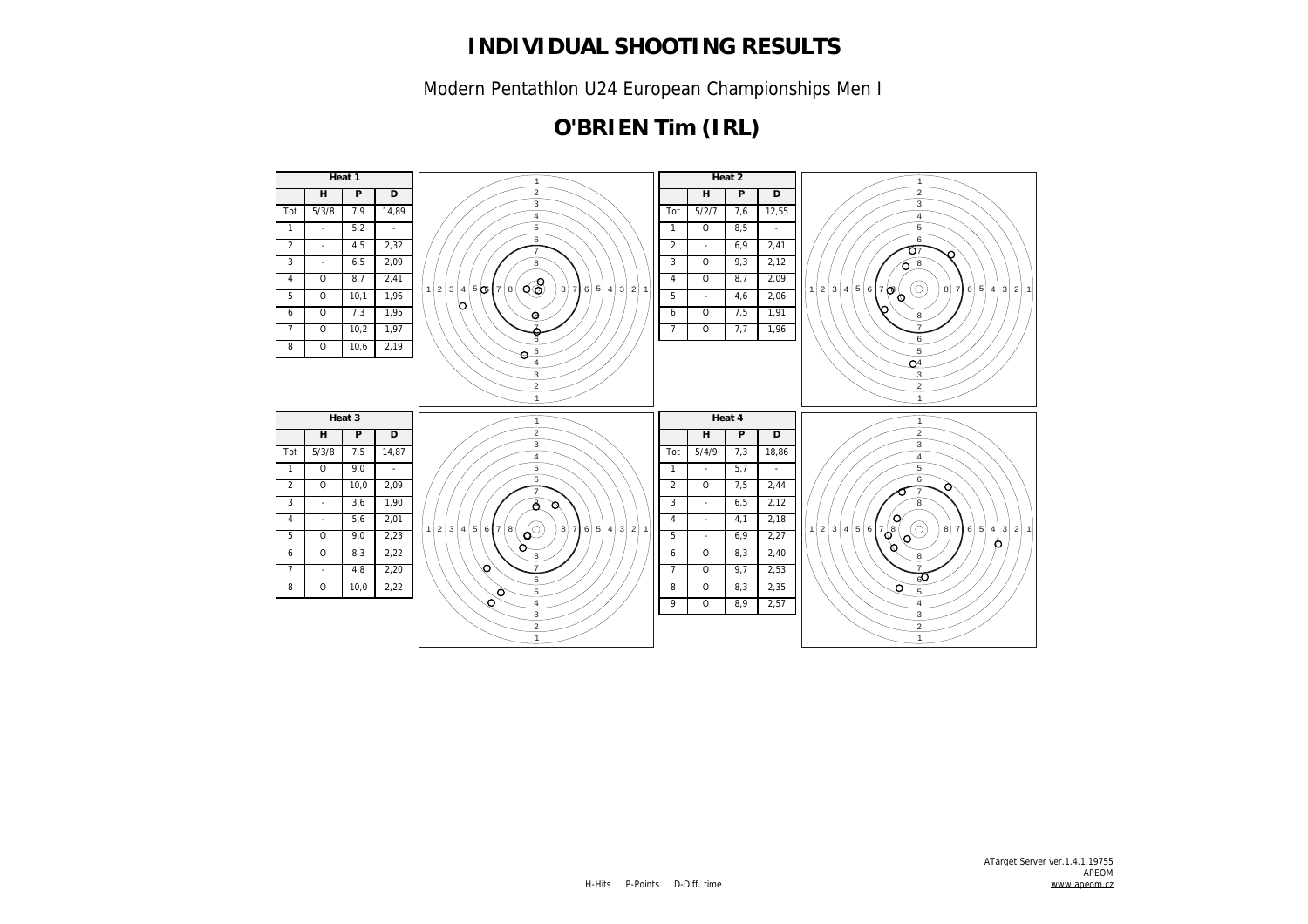Modern Pentathlon U24 European Championships Men I

## **O'BRIEN Tim (IRL)**

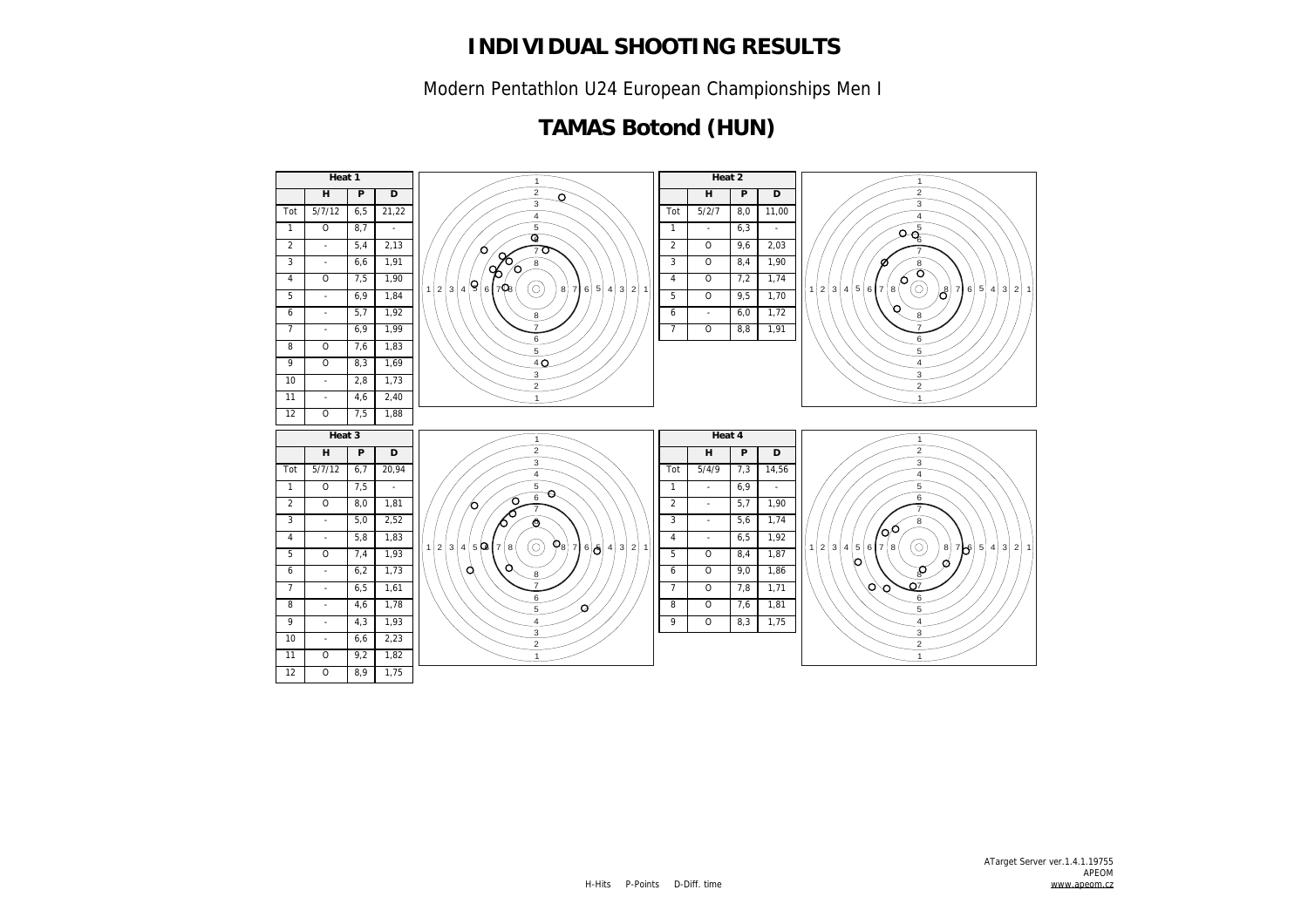Modern Pentathlon U24 European Championships Men I

## **TAMAS Botond (HUN)**

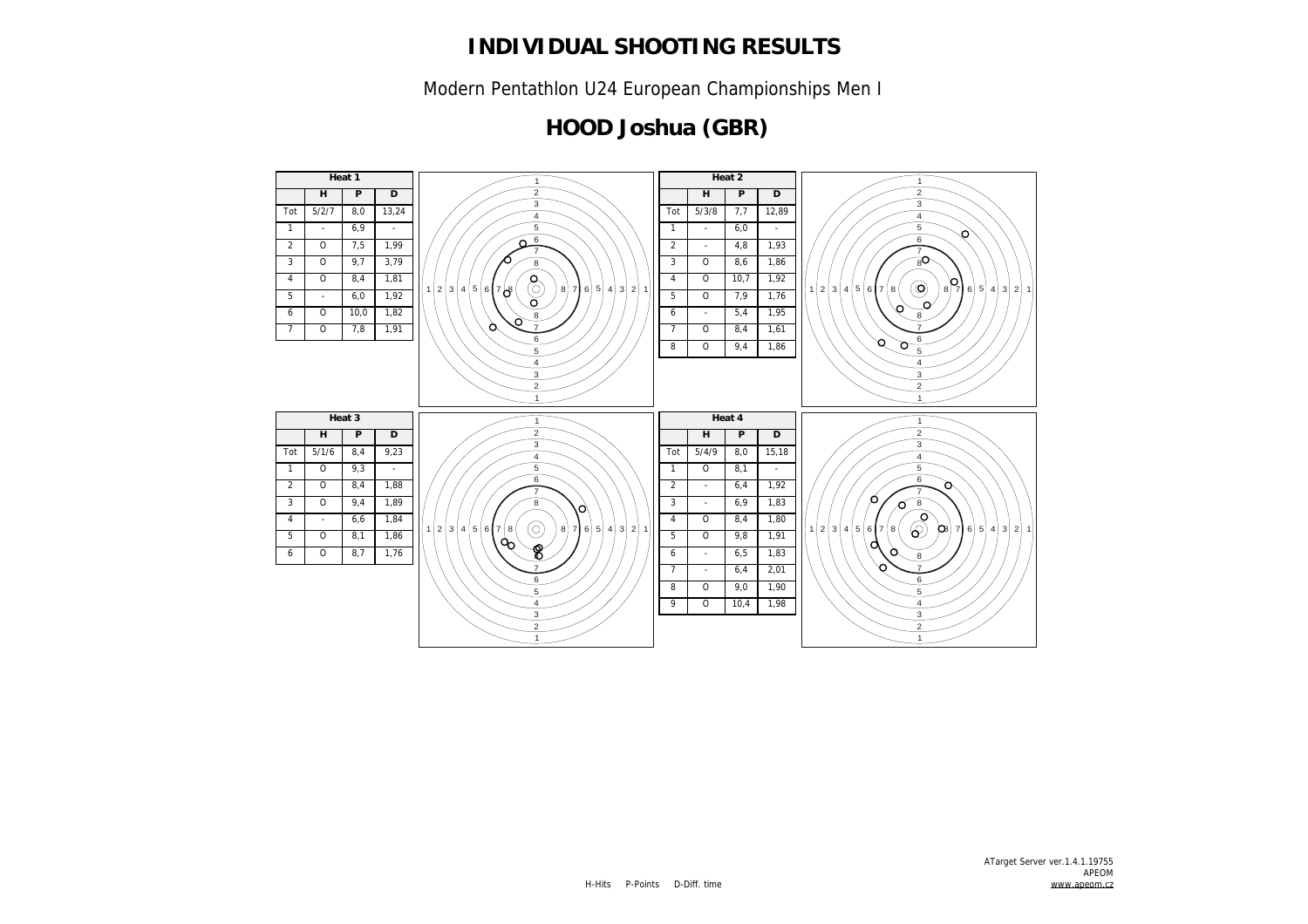Modern Pentathlon U24 European Championships Men I

## **HOOD Joshua (GBR)**

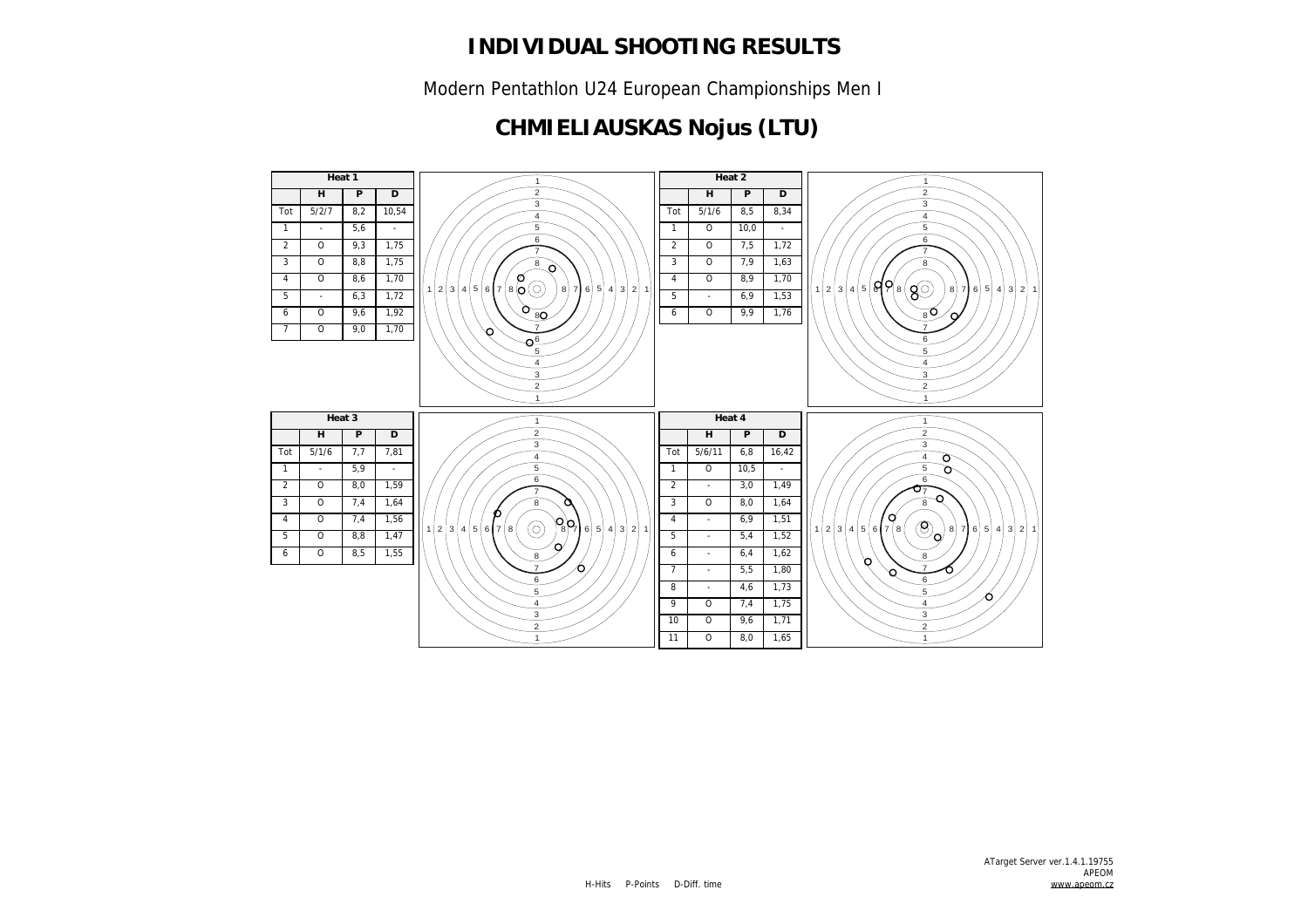Modern Pentathlon U24 European Championships Men I

# **CHMIELIAUSKAS Nojus (LTU)**

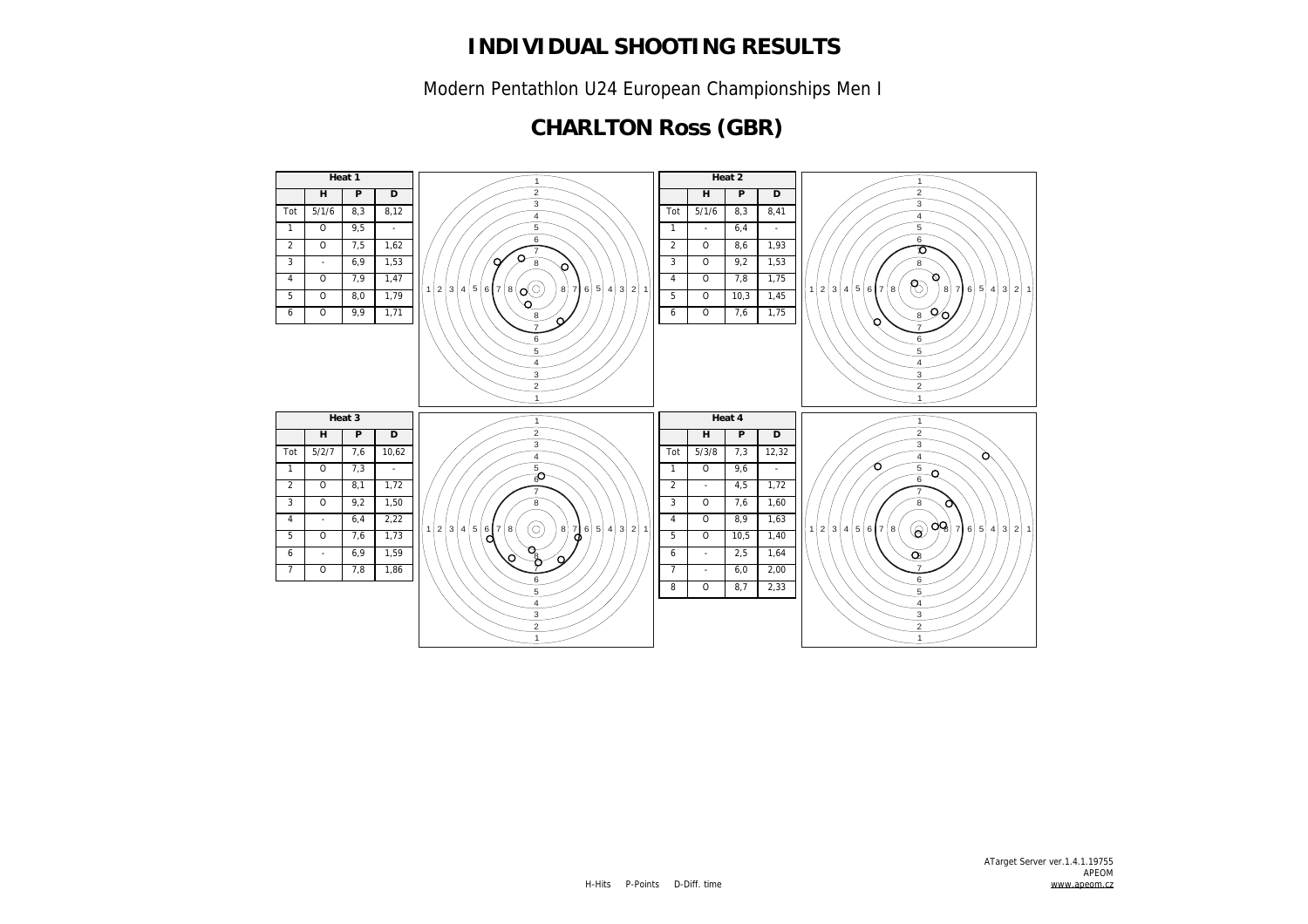Modern Pentathlon U24 European Championships Men I

## **CHARLTON Ross (GBR)**

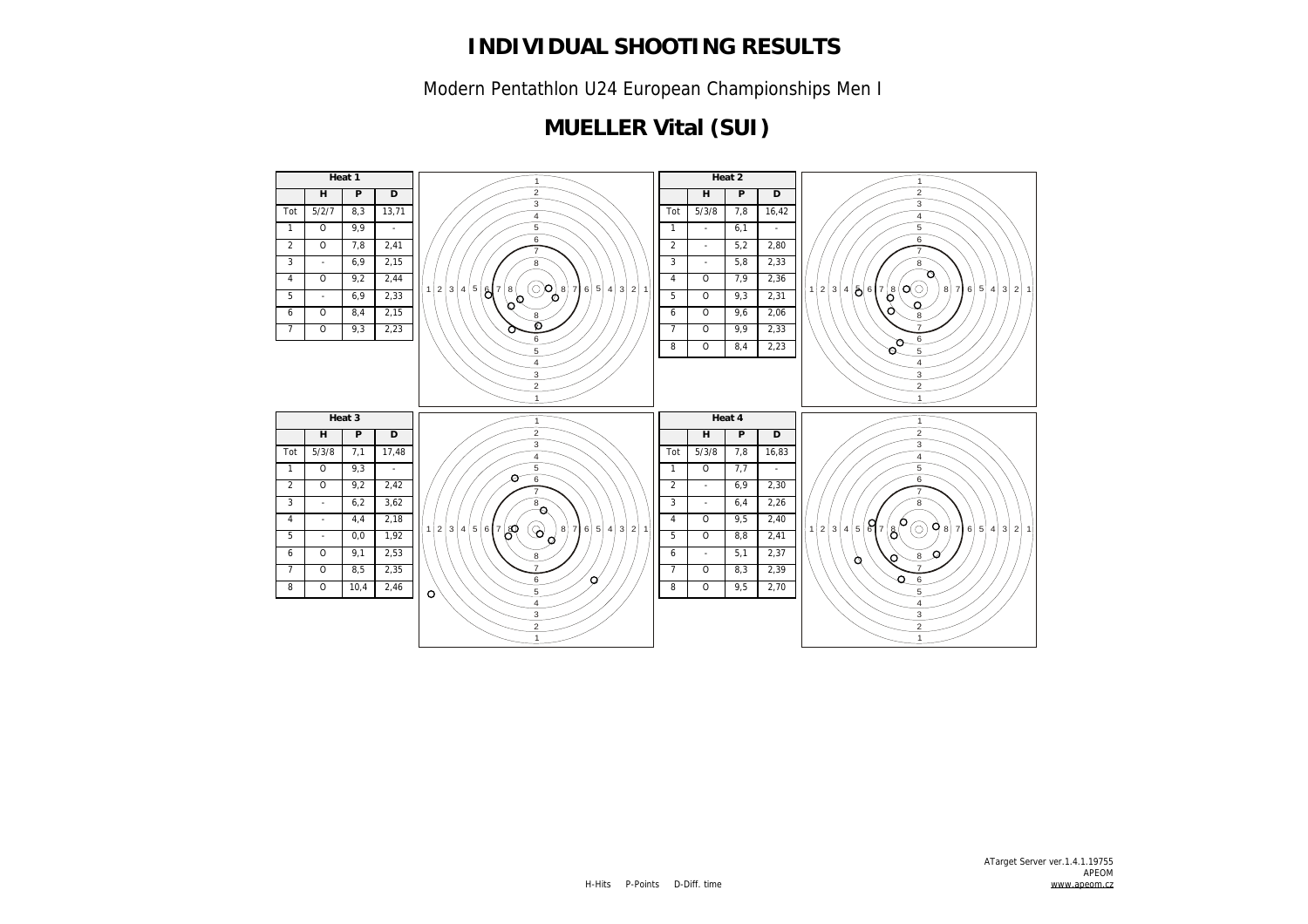Modern Pentathlon U24 European Championships Men I

## **MUELLER Vital (SUI)**

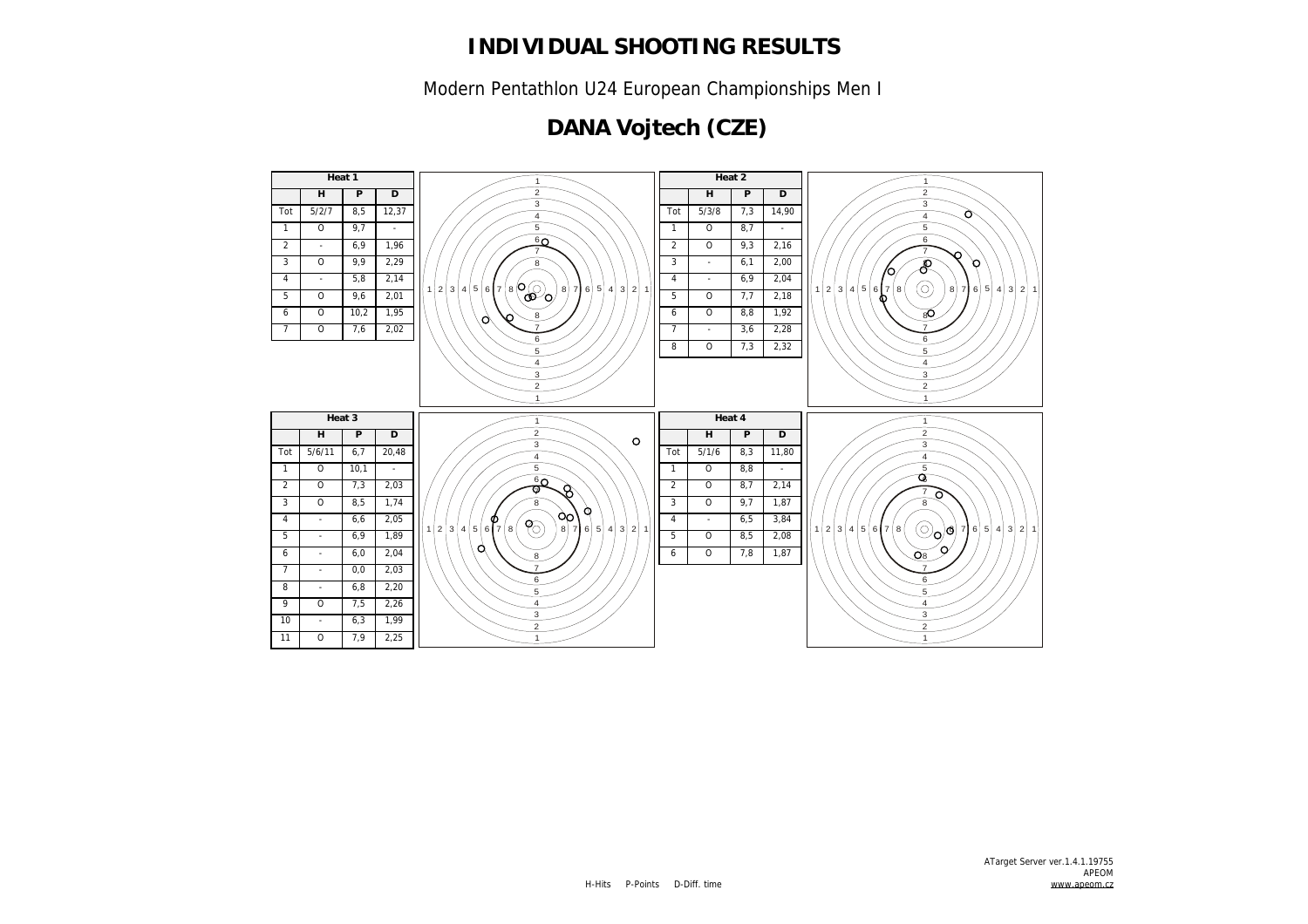Modern Pentathlon U24 European Championships Men I

## **DANA Vojtech (CZE)**

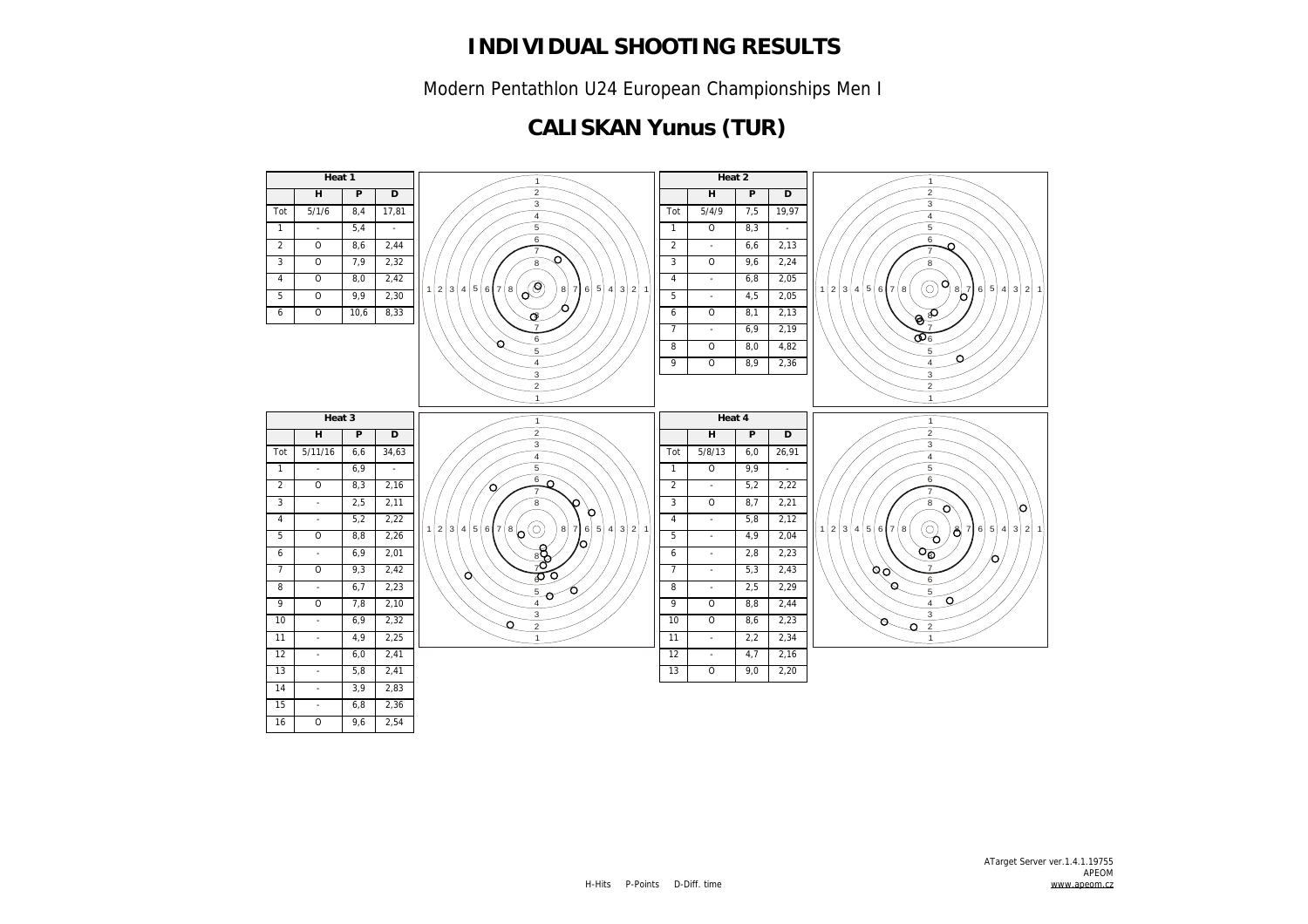Modern Pentathlon U24 European Championships Men I

## **CALISKAN Yunus (TUR)**

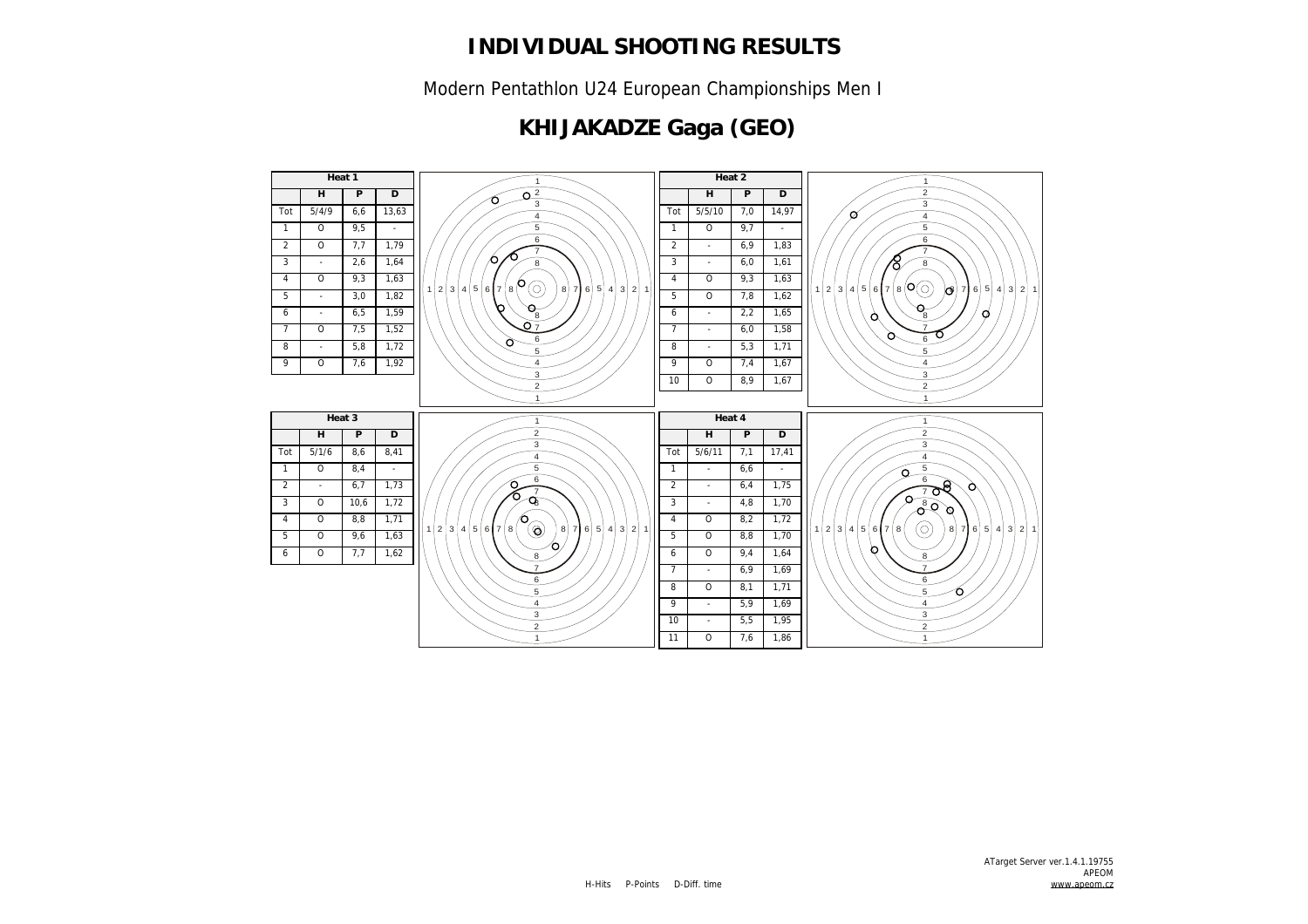Modern Pentathlon U24 European Championships Men I

## **KHIJAKADZE Gaga (GEO)**